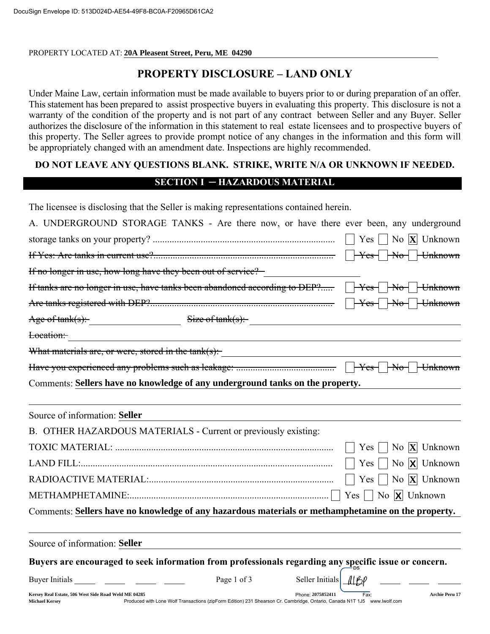PROPERTY LOCATED AT: **20A Pleasent Street, Peru, ME 04290**

# PROPERTY DISCLOSURE - LAND ONLY

Under Maine Law, certain information must be made available to buyers prior to or during preparation of an offer. This statement has been prepared to assist prospective buyers in evaluating this property. This disclosure is not a warranty of the condition of the property and is not part of any contract between Seller and any Buyer. Seller authorizes the disclosure of the information in this statement to real estate licensees and to prospective buyers of this property. The Seller agrees to provide prompt notice of any changes in the information and this form will be appropriately changed with an amendment date. Inspections are highly recommended.

# DO NOT LEAVE ANY QUESTIONS BLANK. STRIKE, WRITE N/A OR UNKNOWN IF NEEDED.

## SECTION I ─ HAZARDOUS MATERIAL

The licensee is disclosing that the Seller is making representations contained herein.

| A. UNDERGROUND STORAGE TANKS - Are there now, or have there ever been, any underground                |                                                                                                                          |                       |            |                                      |
|-------------------------------------------------------------------------------------------------------|--------------------------------------------------------------------------------------------------------------------------|-----------------------|------------|--------------------------------------|
|                                                                                                       |                                                                                                                          |                       |            |                                      |
|                                                                                                       |                                                                                                                          |                       |            |                                      |
| If no longer in use, how long have they been out of service?                                          |                                                                                                                          |                       |            |                                      |
| If tanks are no longer in use, have tanks been abandoned according to DEP? TYes TNoTUnknown           |                                                                                                                          |                       |            |                                      |
|                                                                                                       |                                                                                                                          |                       |            |                                      |
| Age of $tank(s)$ : $Size of tank(s)$ :                                                                |                                                                                                                          |                       |            |                                      |
|                                                                                                       |                                                                                                                          |                       |            |                                      |
| What materials are, or were, stored in the tank(s):                                                   |                                                                                                                          |                       |            |                                      |
|                                                                                                       |                                                                                                                          |                       |            |                                      |
| Comments: Sellers have no knowledge of any underground tanks on the property.                         |                                                                                                                          |                       |            |                                      |
| Source of information: Seller                                                                         |                                                                                                                          |                       |            |                                      |
| B. OTHER HAZARDOUS MATERIALS - Current or previously existing:                                        |                                                                                                                          |                       |            |                                      |
|                                                                                                       |                                                                                                                          |                       | $Yes \mid$ | No $X$ Unknown                       |
|                                                                                                       |                                                                                                                          |                       |            | Yes $\Box$ No $\Box$ Unknown         |
|                                                                                                       |                                                                                                                          |                       |            | Yes $\Box$ No $\angle$ Unknown       |
|                                                                                                       |                                                                                                                          |                       |            | Yes $\Box$ No $\overline{X}$ Unknown |
| Comments: Sellers have no knowledge of any hazardous materials or methamphetamine on the property.    |                                                                                                                          |                       |            |                                      |
| Source of information: Seller                                                                         |                                                                                                                          |                       |            |                                      |
| Buyers are encouraged to seek information from professionals regarding any specific issue or concern. |                                                                                                                          |                       |            |                                      |
|                                                                                                       | Page 1 of 3                                                                                                              | Seller Initials   169 |            |                                      |
| Kersey Real Estate, 506 West Side Road Weld ME 04285<br><b>Michael Kersey</b>                         | Produced with Lone Wolf Transactions (zipForm Edition) 231 Shearson Cr. Cambridge, Ontario, Canada N1T 1J5 www.lwolf.com | Phone: 2075852411     | Fax:       | Archie Peru 17                       |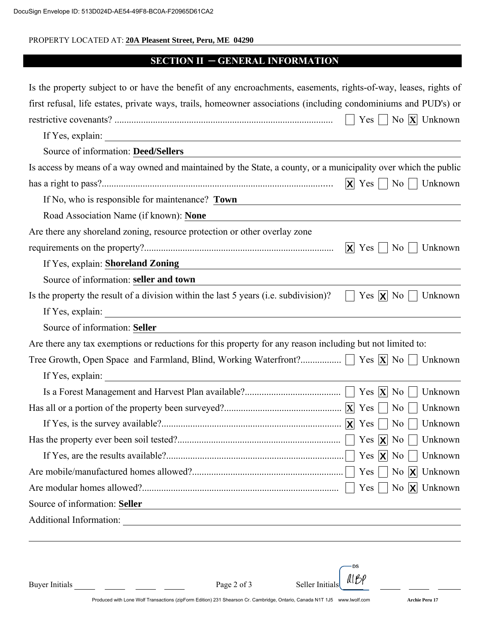### PROPERTY LOCATED AT: **20A Pleasent Street, Peru, ME 04290**

## SECTION II ─ GENERAL INFORMATION

| Is the property subject to or have the benefit of any encroachments, easements, rights-of-way, leases, rights of                                      |                            |                |                                             |
|-------------------------------------------------------------------------------------------------------------------------------------------------------|----------------------------|----------------|---------------------------------------------|
| first refusal, life estates, private ways, trails, homeowner associations (including condominiums and PUD's) or                                       |                            |                |                                             |
|                                                                                                                                                       |                            |                | Yes     No $ \mathbf{X} $ Unknown           |
| If Yes, explain:<br><u> 1980 - Andrea Stadt Britain, amerikansk politik (</u>                                                                         |                            |                |                                             |
| Source of information: Deed/Sellers                                                                                                                   |                            |                |                                             |
| Is access by means of a way owned and maintained by the State, a county, or a municipality over which the public                                      |                            |                |                                             |
|                                                                                                                                                       | $\mathbf{X}$ Yes $\Box$ No |                | Unknown                                     |
| If No, who is responsible for maintenance? Town                                                                                                       |                            |                |                                             |
| Road Association Name (if known): None                                                                                                                |                            |                |                                             |
| Are there any shoreland zoning, resource protection or other overlay zone                                                                             |                            |                |                                             |
|                                                                                                                                                       | $ X $ Yes                  | N <sub>0</sub> | Unknown                                     |
| If Yes, explain: Shoreland Zoning                                                                                                                     |                            |                |                                             |
| Source of information: seller and town                                                                                                                |                            |                |                                             |
| Is the property the result of a division within the last 5 years (i.e. subdivision)?                                                                  | Yes $ X $ No               |                | Unknown                                     |
| If Yes, explain:                                                                                                                                      |                            |                |                                             |
| Source of information: Seller                                                                                                                         |                            |                |                                             |
| Are there any tax exemptions or reductions for this property for any reason including but not limited to:                                             |                            |                |                                             |
|                                                                                                                                                       |                            |                | Unknown                                     |
| If Yes, explain:<br><u> 1980 - Johann Barn, amerikan besteman besteman besteman besteman besteman besteman besteman besteman besteman</u>             |                            |                |                                             |
|                                                                                                                                                       |                            |                | Unknown                                     |
|                                                                                                                                                       |                            | N <sub>o</sub> | Unknown                                     |
|                                                                                                                                                       |                            | No             | Unknown                                     |
|                                                                                                                                                       |                            |                |                                             |
|                                                                                                                                                       | Yes $ \mathbf{X} $ No      |                | Unknown                                     |
|                                                                                                                                                       |                            |                | Yes $\vert$   No $\vert$ <b>X</b>   Unknown |
|                                                                                                                                                       | $Yes \mid$                 |                | No $X$ Unknown                              |
| Source of information: Seller<br><u> 1989 - Johann Stein, marwolaethau a bhann an t-Amhain an t-Amhain an t-Amhain an t-Amhain an t-Amhain an t-A</u> |                            |                |                                             |
| Additional Information:                                                                                                                               |                            |                |                                             |
|                                                                                                                                                       |                            |                |                                             |
|                                                                                                                                                       |                            |                |                                             |

·DS Buyer Initials  $\begin{array}{ccc} \text{Page 2 of 3} & \text{Select Initially} \end{array}$